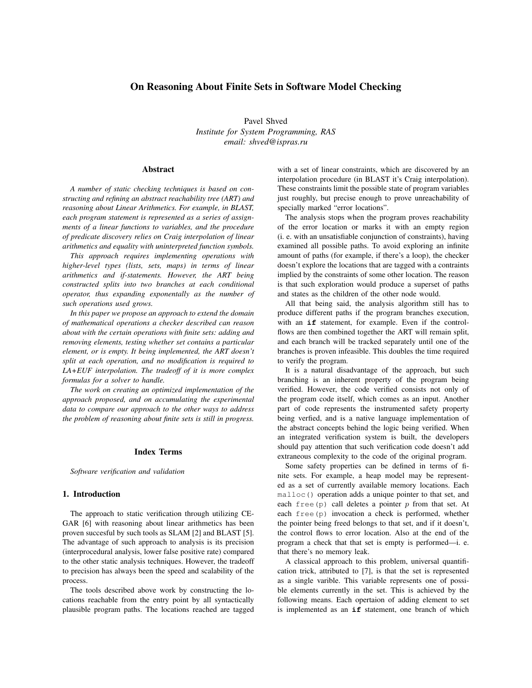# On Reasoning About Finite Sets in Software Model Checking

Pavel Shved *Institute for System Programming, RAS email: shved@ispras.ru*

### Abstract

*A number of static checking techniques is based on constructing and refining an abstract reachability tree (ART) and reasoning about Linear Arithmetics. For example, in BLAST, each program statement is represented as a series of assignments of a linear functions to variables, and the procedure of predicate discovery relies on Craig interpolation of linear arithmetics and equality with uninterpreted function symbols.*

*This approach requires implementing operations with higher-level types (lists, sets, maps) in terms of linear arithmetics and if-statements. However, the ART being constructed splits into two branches at each conditional operator, thus expanding exponentally as the number of such operations used grows.*

*In this paper we propose an approach to extend the domain of mathematical operations a checker described can reason about with the certain operations with finite sets: adding and removing elements, testing whether set contains a particular element, or is empty. It being implemented, the ART doesn't split at each operation, and no modification is required to LA+EUF interpolation. The tradeoff of it is more complex formulas for a solver to handle.*

*The work on creating an optimized implementation of the approach proposed, and on accumulating the experimental data to compare our approach to the other ways to address the problem of reasoning about finite sets is still in progress.*

#### Index Terms

*Software verification and validation*

### 1. Introduction

The approach to static verification through utilizing CE-GAR [6] with reasoning about linear arithmetics has been proven succesful by such tools as SLAM [2] and BLAST [5]. The advantage of such approach to analysis is its precision (interprocedural analysis, lower false positive rate) compared to the other static analysis techniques. However, the tradeoff to precision has always been the speed and scalability of the process.

The tools described above work by constructing the locations reachable from the entry point by all syntactically plausible program paths. The locations reached are tagged

with a set of linear constraints, which are discovered by an interpolation procedure (in BLAST it's Craig interpolation). These constraints limit the possible state of program variables just roughly, but precise enough to prove unreachability of specially marked "error locations".

The analysis stops when the program proves reachability of the error location or marks it with an empty region (i. e. with an unsatisfiable conjunction of constraints), having examined all possible paths. To avoid exploring an infinite amount of paths (for example, if there's a loop), the checker doesn't explore the locations that are tagged with a contraints implied by the constraints of some other location. The reason is that such exploration would produce a superset of paths and states as the children of the other node would.

All that being said, the analysis algorithm still has to produce different paths if the program branches execution, with an **if** statement, for example. Even if the controlflows are then combined together the ART will remain split, and each branch will be tracked separately until one of the branches is proven infeasible. This doubles the time required to verify the program.

It is a natural disadvantage of the approach, but such branching is an inherent property of the program being verified. However, the code verified consists not only of the program code itself, which comes as an input. Another part of code represents the instrumented safety property being verfied, and is a native language implementation of the abstract concepts behind the logic being verified. When an integrated verification system is built, the developers should pay attention that such verification code doesn't add extraneous complexity to the code of the original program.

Some safety properties can be defined in terms of finite sets. For example, a heap model may be represented as a set of currently available memory locations. Each malloc() operation adds a unique pointer to that set, and each free(p) call deletes a pointer  $p$  from that set. At each free(p) invocation a check is performed, whether the pointer being freed belongs to that set, and if it doesn't, the control flows to error location. Also at the end of the program a check that that set is empty is performed—i. e. that there's no memory leak.

A classical approach to this problem, universal quantification trick, attributed to [7], is that the set is represented as a single varible. This variable represents one of possible elements currently in the set. This is achieved by the following means. Each opertaion of adding element to set is implemented as an **if** statement, one branch of which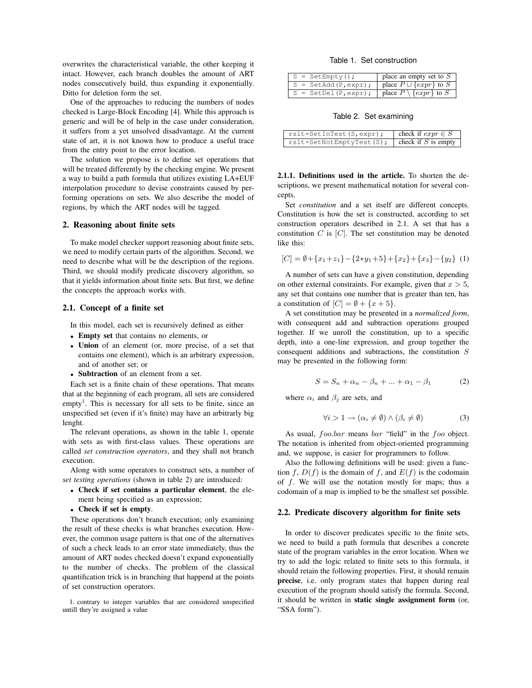overwrites the characteristical variable, the other keeping it intact. However, each branch doubles the amount of ART nodes consecutively build, thus expanding it exponentially. Ditto for deletion form the set.

One of the approaches to reducing the numbers of nodes checked is Large-Block Encoding [4]. While this approach is generic and will be of help in the case under consideration, it suffers from a yet unsolved disadvantage. At the current state of art, it is not known how to produce a useful trace from the entry point to the error location.

The solution we propose is to define set operations that will be treated differently by the checking engine. We present a way to build a path formula that utilizes existing LA+EUF interpolation procedure to devise constraints caused by performing operations on sets. We also describe the model of regions, by which the ART nodes will be tagged.

### 2. Reasoning about finite sets

To make model checker support reasoning about finite sets, we need to modify certain parts of the algorithm. Second, we need to describe what will be the description of the regions. Third, we should modify predicate discovery algorithm, so that it yields information about finite sets. But first, we define the concepts the approach works with.

### 2.1. Concept of a finite set

In this model, each set is recursively defined as either

- Empty set that contains no elements, or
- Union of an element (or, more precise, of a set that contains one element), which is an arbitrary expression, and of another set; or
- Subtraction of an element from a set.

Each set is a finite chain of these operations. That means that at the beginning of each program, all sets are considered empty<sup>1</sup>. This is necessary for all sets to be finite, since an unspecified set (even if it's finite) may have an arbitrarly big lenght.

The relevant operations, as shown in the table 1, operate with sets as with first-class values. These operations are called *set construction operators*, and they shall not branch execution.

Along with some operators to construct sets, a number of *set testing operations* (shown in table 2) are introduced:

- Check if set contains a particular element, the element being specified as an expression;
- Check if set is empty.

These operations don't branch execution; only examining the result of these checks is what branches execution. However, the common usage pattern is that one of the alternatives of such a check leads to an error state immediately, thus the amount of ART nodes checked doesn't expand exponentially to the number of checks. The problem of the classical quantification trick is in branching that happend at the points of set construction operators.

1. contrary to integer variables that are considered unspecified untill they're assigned a value

Table 1. Set construction

| $S = SetEmpty()$ ;     | place an empty set to $S$         |
|------------------------|-----------------------------------|
| $S = SetAdd(P, expr);$ | place $P \cup \{expr\}$ to S      |
| $S = SetDel(P,expr);$  | place $P \setminus \{expr\}$ to S |

Table 2. Set examining

| $rslt = SetInTest(S,expr);$ | check if $expr \in S$ |
|-----------------------------|-----------------------|
| rslt=SetNotEmptyTest(S);    | check if $S$ is empty |

2.1.1. Definitions used in the article. To shorten the descriptions, we present mathematical notation for several concepts.

Set *constitution* and a set itself are different concepts. Constitution is how the set is constructed, according to set construction operators described in 2.1. A set that has a constitution  $C$  is  $[C]$ . The set constitution may be denoted like this:

$$
[C] = \emptyset + \{x_1 + z_1\} - \{2*y_1 + 5\} + \{x_2\} + \{x_3\} - \{y_2\} \tag{1}
$$

A number of sets can have a given constitution, depending on other external constraints. For example, given that  $x > 5$ , any set that contains one number that is greater than ten, has a constitution of  $[C] = \emptyset + \{x+5\}.$ 

A set constitution may be presented in a *normalized form*, with consequent add and subtraction operations grouped together. If we unroll the constitution, up to a specific depth, into a one-line expression, and group together the consequent additions and subtractions, the constitution S may be presented in the following form:

$$
S = S_n + \alpha_n - \beta_n + \dots + \alpha_1 - \beta_1 \tag{2}
$$

where  $\alpha_i$  and  $\beta_j$  are sets, and

$$
\forall i > 1 \to (\alpha_i \neq \emptyset) \land (\beta_i \neq \emptyset)
$$
 (3)

As usual,  $foo bar$  means bar "field" in the  $foo$  object. The notation is inherited from object-oriented programming and, we suppose, is easier for programmers to follow.

Also the following definitions will be used: given a function f,  $D(f)$  is the domain of f, and  $E(f)$  is the codomain of  $f$ . We will use the notation mostly for maps; thus a codomain of a map is implied to be the smallest set possible.

### 2.2. Predicate discovery algorithm for finite sets

In order to discover predicates specific to the finite sets, we need to build a path formula that describes a concrete state of the program variables in the error location. When we try to add the logic related to finite sets to this formula, it should retain the following properties. First, it should remain precise, i.e. only program states that happen during real execution of the program should satisfy the formula. Second, it should be written in static single assignment form (or, "SSA form").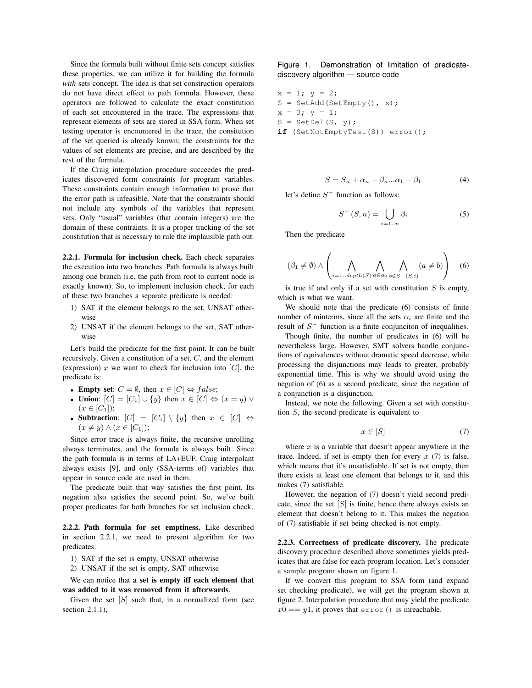Since the formula built without finite sets concept satisfies these properties, we can utilize it for building the formula *with* sets concept. The idea is that set construction operators do not have direct effect to path formula. However, these operators are followed to calculate the exact constitution of each set encountered in the trace. The expressions that represent elements of sets are stored in SSA form. When set testing operator is encountered in the trace, the consitution of the set queried is already known; the constraints for the values of set elements are precise, and are described by the rest of the formula.

If the Craig interpolation procedure succeedes the predicates discovered form constraints for program variables. These constraints contain enough information to prove that the error path is infeasible. Note that the constraints should not include any symbols of the variables that represent sets. Only "usual" variables (that contain integers) are the domain of these contraints. It is a proper tracking of the set constitution that is necessary to rule the implausible path out.

2.2.1. Formula for inclusion check. Each check separates the execution into two branches. Path formula is always built among one branch (i.e. the path from root to current node is exactly known). So, to implement inclusion check, for each of these two branches a separate predicate is needed:

- 1) SAT if the element belongs to the set, UNSAT otherwise
- 2) UNSAT if the element belongs to the set, SAT otherwise

Let's build the predicate for the first point. It can be built recursively. Given a constitution of a set, C, and the element (expression)  $x$  we want to check for inclusion into  $[C]$ , the predicate is:

- Empty set:  $C = \emptyset$ , then  $x \in [C] \Leftrightarrow false$ ;
- Union:  $[C] = [C_1] \cup \{y\}$  then  $x \in [C] \Leftrightarrow (x = y) \vee (x = y)$  $(x \in [C_1])$ ;
- Subtraction:  $|C| = |C_1| \setminus \{y\}$  then  $x \in |C| \Leftrightarrow$  $(x \neq y) \wedge (x \in [C_1])$ ;

Since error trace is always finite, the recursive unrolling always terminates, and the formula is always built. Since the path formula is in terms of LA+EUF, Craig interpolant always exists [9], and only (SSA-terms of) variables that appear in source code are used in them.

The predicate built that way satisfies the first point. Its negation also satisfies the second point. So, we've built proper predicates for both branches for set inclusion check.

2.2.2. Path formula for set emptiness. Like described in section 2.2.1, we need to present algorithm for two predicates:

- 1) SAT if the set is empty, UNSAT otherwise
- 2) UNSAT if the set is empty, SAT otherwise

We can notice that a set is empty iff each element that was added to it was removed from it afterwards.

Given the set  $[S]$  such that, in a normalized form (see section 2.1.1),

Figure 1. Demonstration of limitation of predicatediscovery algorithm — source code

 $x = 1; y = 2;$  $S = SetAdd(SetEmpty(), x);$  $x = 3; y = 1;$  $S = SetDel(S, y);$ **if** (SetNotEmptyTest(S)) error();

$$
S = S_n + \alpha_n - \beta_n \dots \alpha_1 - \beta_1 \tag{4}
$$

let's define  $S^-$  function as follows:

$$
S^{-}\left(S,n\right) = \bigcup_{i=1..n} \beta_i \tag{5}
$$

Then the predicate

$$
(\beta_1 \neq \emptyset) \land \left(\bigwedge_{i=1..depth(S)} \bigwedge_{a \in \alpha_i} \bigwedge_{b \in S^-(S,i)} (a \neq b)\right) \quad (6)
$$

is true if and only if a set with constitution  $S$  is empty, which is what we want.

We should note that the predicate (6) consists of finite number of minterms, since all the sets  $\alpha_i$  are finite and the result of  $S^-$  function is a finite conjunciton of inequalities.

Though finite, the number of predicates in (6) will be nevertheless large. However, SMT solvers handle conjunctions of equivalences without dramatic speed decrease, while processing the disjunctions may leads to greater, probably exponential time. This is why we should avoid using the negation of (6) as a second predicate, since the negation of a conjunction is a disjunction.

Instead, we note the following. Given a set with constitution S, the second predicate is equivalent to

$$
x \in [S] \tag{7}
$$

where  $x$  is a variable that doesn't appear anywhere in the trace. Indeed, if set is empty then for every  $x(7)$  is false, which means that it's unsatisfiable. If set is not empty, then there exists at least one element that belongs to it, and this makes (7) satisfiable.

However, the negation of (7) doesn't yield second predicate, since the set  $[S]$  is finite, hence there always exists an element that doesn't belong to it. This makes the negation of (7) satisfiable if set being checked is not empty.

2.2.3. Correctness of predicate discovery. The predicate discovery procedure described above sometimes yields predicates that are false for each program location. Let's consider a sample program shown on figure 1.

If we convert this program to SSA form (and expand set checking predicate), we will get the program shown at figure 2. Interpolation procedure that may yield the predicate  $x0 == y1$ , it proves that error() is inreachable.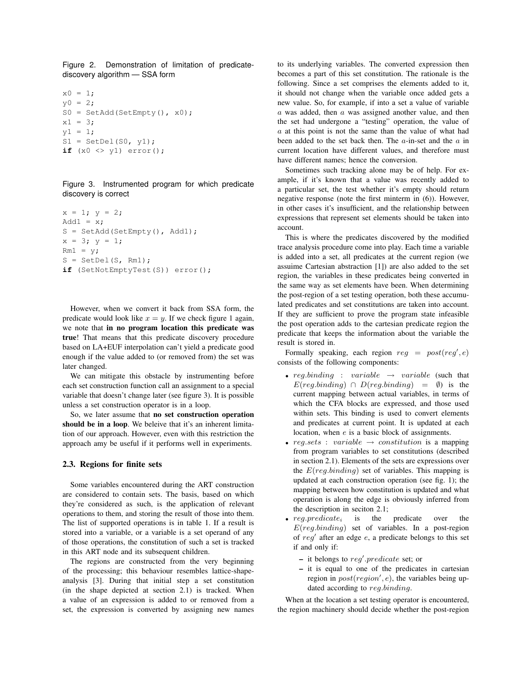Figure 2. Demonstration of limitation of predicatediscovery algorithm — SSA form

```
x0 = 1;y0 = 2;S0 = SetAdd(SetEmpty(), x0);x1 = 3;
y1 = 1;S1 = SetDel(S0, y1);if (x0 \leftrightarrow y1) error();
```
Figure 3. Instrumented program for which predicate discovery is correct

```
x = 1; y = 2;Add1 = x;
S = SetAdd(SetEmpty(), Add1);
x = 3; y = 1;Rm1 = y;S = SetDel(S, Rm1);
if (SetNotEmptyTest(S)) error();
```
However, when we convert it back from SSA form, the predicate would look like  $x = y$ . If we check figure 1 again, we note that in no program location this predicate was true! That means that this predicate discovery procedure based on LA+EUF interpolation can't yield a predicate good enough if the value added to (or removed from) the set was later changed.

We can mitigate this obstacle by instrumenting before each set construction function call an assignment to a special variable that doesn't change later (see figure 3). It is possible unless a set construction operator is in a loop.

So, we later assume that no set construction operation should be in a loop. We beleive that it's an inherent limitation of our approach. However, even with this restriction the approach amy be useful if it performs well in experiments.

### 2.3. Regions for finite sets

Some variables encountered during the ART construction are considered to contain sets. The basis, based on which they're considered as such, is the application of relevant operations to them, and storing the result of those into them. The list of supported operations is in table 1. If a result is stored into a variable, or a variable is a set operand of any of those operations, the constitution of such a set is tracked in this ART node and its subsequent children.

The regions are constructed from the very beginning of the processing; this behaviour resembles lattice-shapeanalysis [3]. During that initial step a set constitution (in the shape depicted at section 2.1) is tracked. When a value of an expression is added to or removed from a set, the expression is converted by assigning new names to its underlying variables. The converted expression then becomes a part of this set constitution. The rationale is the following. Since a set comprises the elements added to it, it should not change when the variable once added gets a new value. So, for example, if into a set a value of variable  $a$  was added, then  $a$  was assigned another value, and then the set had undergone a "testing" operation, the value of  $a$  at this point is not the same than the value of what had been added to the set back then. The  $a$ -in-set and the  $a$  in current location have different values, and therefore must have different names; hence the conversion.

Sometimes such tracking alone may be of help. For example, if it's known that a value was recently added to a particular set, the test whether it's empty should return negative response (note the first minterm in (6)). However, in other cases it's insufficient, and the relationship between expressions that represent set elements should be taken into account.

This is where the predicates discovered by the modified trace analysis procedure come into play. Each time a variable is added into a set, all predicates at the current region (we assuime Cartesian abstraction [1]) are also added to the set region, the variables in these predicates being converted in the same way as set elements have been. When determining the post-region of a set testing operation, both these accumulated predicates and set constitutions are taken into account. If they are sufficient to prove the program state infeasible the post operation adds to the cartesian predicate region the predicate that keeps the information about the variable the result is stored in.

Formally speaking, each region  $reg = post(reg', e)$ consists of the following components:

- reg.binding : variable  $\rightarrow$  variable (such that  $E(\text{reg.}binding) \cap D(\text{reg.}binding) = \emptyset$  is the current mapping between actual variables, in terms of which the CFA blocks are expressed, and those used within sets. This binding is used to convert elements and predicates at current point. It is updated at each location, when e is a basic block of assignments.
- reg.sets : variable  $\rightarrow$  constitution is a mapping from program variables to set constitutions (described in section 2.1). Elements of the sets are expressions over the  $E(\text{reg.}binding)$  set of variables. This mapping is updated at each construction operation (see fig. 1); the mapping between how constitution is updated and what operation is along the edge is obviously inferred from the description in seciton 2.1;
- $reg.predicte_i$  is the predicate over the  $E(reg.binding)$  set of variables. In a post-region of  $reg'$  after an edge  $e$ , a predicate belongs to this set if and only if:
	- it belongs to  $reg'.predicate$  set; or
	- it is equal to one of the predicates in cartesian region in  $post(region', e)$ , the variables being updated according to reg.binding.

When at the location a set testing operator is encountered, the region machinery should decide whether the post-region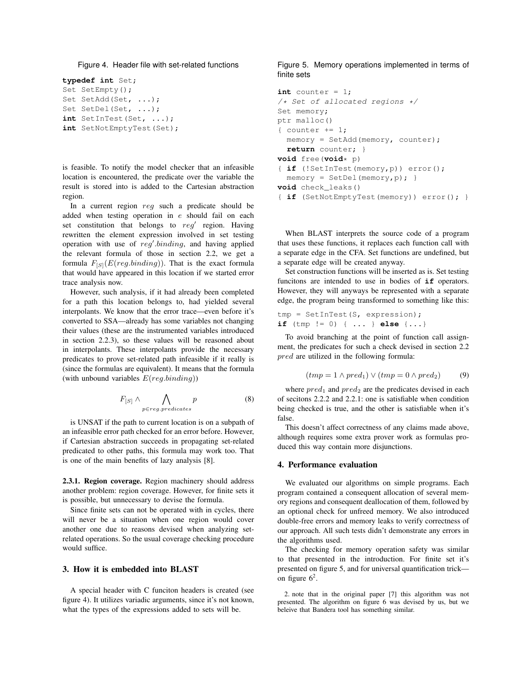```
Figure 4. Header file with set-related functions
```

```
typedef int Set;
Set SetEmpty();
Set SetAdd(Set, ...);
Set SetDel(Set, ...);
int SetInTest(Set, ...);
int SetNotEmptyTest(Set);
```
is feasible. To notify the model checker that an infeasible location is encountered, the predicate over the variable the result is stored into is added to the Cartesian abstraction region.

In a current region reg such a predicate should be added when testing operation in e should fail on each set constitution that belongs to  $reg'$  region. Having rewritten the element expression involved in set testing operation with use of  $reg'.binding$ , and having applied the relevant formula of those in section 2.2, we get a formula  $F_{[S]}(E(\text{reg.}binding))$ . That is the exact formula that would have appeared in this location if we started error trace analysis now.

However, such analysis, if it had already been completed for a path this location belongs to, had yielded several interpolants. We know that the error trace—even before it's converted to SSA—already has some variables not changing their values (these are the instrumented variables introduced in section 2.2.3), so these values will be reasoned about in interpolants. These interpolants provide the necessary predicates to prove set-related path infeasible if it really is (since the formulas are equivalent). It means that the formula (with unbound variables  $E(\text{reg}.\text{binding})$ )

$$
F_{[S]} \wedge \bigwedge_{p \in reg.predicates} p \tag{8}
$$

is UNSAT if the path to current location is on a subpath of an infeasible error path checked for an error before. However, if Cartesian abstraction succeeds in propagating set-related predicated to other paths, this formula may work too. That is one of the main benefits of lazy analysis [8].

2.3.1. Region coverage. Region machinery should address another problem: region coverage. However, for finite sets it is possible, but unnecessary to devise the formula.

Since finite sets can not be operated with in cycles, there will never be a situation when one region would cover another one due to reasons devised when analyzing setrelated operations. So the usual coverage checking procedure would suffice.

## 3. How it is embedded into BLAST

A special header with C funciton headers is created (see figure 4). It utilizes variadic arguments, since it's not known, what the types of the expressions added to sets will be.

### Figure 5. Memory operations implemented in terms of finite sets

```
int counter = 1;
/* Set of allocated regions */
Set memory;
ptr malloc()
{ counter += 1;memory = SetAdd(memory, counter);
  return counter; }
void free(void* p)
{ if (!SetInTest(memory,p)) error();
  memory = SetDel(memory, p);void check_leaks()
{ if (SetNotEmptyTest(memory)) error(); }
```
When BLAST interprets the source code of a program that uses these functions, it replaces each function call with a separate edge in the CFA. Set functions are undefined, but a separate edge will be created anyway.

Set construction functions will be inserted as is. Set testing funcitons are intended to use in bodies of **if** operators. However, they will anyways be represented with a separate edge, the program being transformed to something like this:

tmp = SetInTest(S, expression); **if** (tmp != 0) { ... } **else** {...}

To avoid branching at the point of function call assignment, the predicates for such a check devised in section 2.2 pred are utilized in the following formula:

$$
(tmp = 1 \land pred_1) \lor (tmp = 0 \land pred_2) \tag{9}
$$

where  $pred_1$  and  $pred_2$  are the predicates devised in each of secitons 2.2.2 and 2.2.1: one is satisfiable when condition being checked is true, and the other is satisfiable when it's false.

This doesn't affect correctness of any claims made above, although requires some extra prover work as formulas produced this way contain more disjunctions.

#### 4. Performance evaluation

We evaluated our algorithms on simple programs. Each program contained a consequent allocation of several memory regions and consequent deallocation of them, followed by an optional check for unfreed memory. We also introduced double-free errors and memory leaks to verify correctness of our approach. All such tests didn't demonstrate any errors in the algorithms used.

The checking for memory operation safety was similar to that presented in the introduction. For finite set it's presented on figure 5, and for universal quantification trick on figure  $6^2$ .

2. note that in the original paper [7] this algorithm was not presented. The algorithm on figure 6 was devised by us, but we beleive that Bandera tool has something similar.